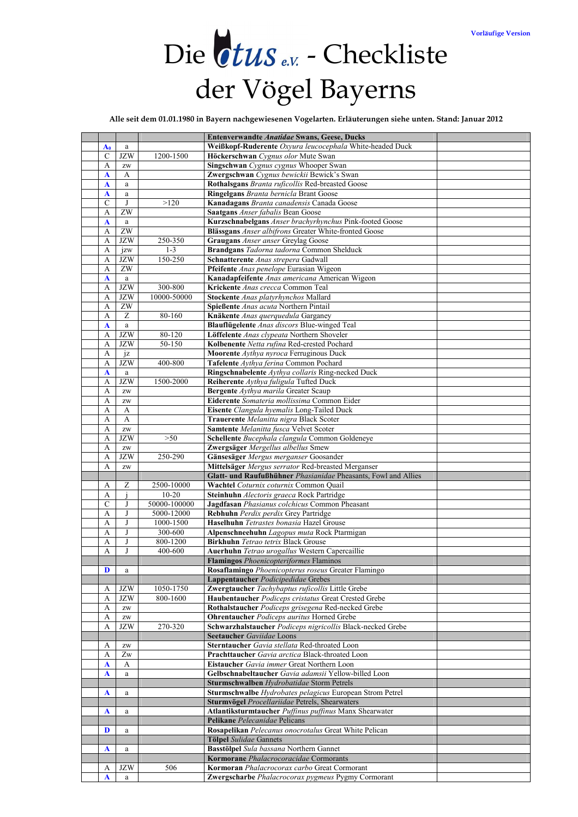# Die *tus* <sub>e.v.</sub> - Checkliste der Vögel Bayerns

**Alle seit dem 01.01.1980 in Bayern nachgewiesenen Vogelarten. Erläuterungen siehe unten. Stand: Januar 2012** 

|                    |                                      |                         | <b>Entenverwandte Anatidae Swans, Geese, Ducks</b>                                                       |
|--------------------|--------------------------------------|-------------------------|----------------------------------------------------------------------------------------------------------|
|                    |                                      |                         | Weißkopf-Ruderente Oxyura leucocephala White-headed Duck                                                 |
| $A_0$              | a                                    |                         |                                                                                                          |
| C                  | <b>JZW</b>                           | 1200-1500               | Höckerschwan Cygnus olor Mute Swan                                                                       |
| А                  | $\mathbf{Z}\mathbf{W}$               |                         | Singschwan Cygnus cygnus Whooper Swan                                                                    |
| A                  | A                                    |                         | Zwergschwan Cygnus bewickii Bewick's Swan                                                                |
| $\mathbf A$        | a                                    |                         | Rothalsgans Branta ruficollis Red-breasted Goose                                                         |
| A                  | a                                    |                         | Ringelgans Branta bernicla Brant Goose                                                                   |
| C                  | J                                    | >120                    | Kanadagans Branta canadensis Canada Goose                                                                |
| А                  | ZW                                   |                         | Saatgans Anser fabalis Bean Goose                                                                        |
| $\mathbf A$        | a                                    |                         | Kurzschnabelgans Anser brachyrhynchus Pink-footed Goose                                                  |
| A                  | $\overline{ZW}$                      |                         | Blässgans Anser albifrons Greater White-fronted Goose                                                    |
| А                  | <b>JZW</b>                           | 250-350                 | <b>Graugans</b> Anser anser Greylag Goose                                                                |
| А                  | jzw                                  | $1 - 3$                 | Brandgans Tadorna tadorna Common Shelduck                                                                |
| A                  | <b>JZW</b>                           | 150-250                 | Schnatterente Anas strepera Gadwall                                                                      |
| А                  | $\overline{ZW}$                      |                         | Pfeifente Anas penelope Eurasian Wigeon                                                                  |
| $\mathbf A$        | a                                    |                         | Kanadapfeifente Anas americana American Wigeon                                                           |
| А                  | <b>JZW</b>                           | 300-800                 | Krickente Anas crecca Common Teal                                                                        |
| А                  | <b>JZW</b>                           | 10000-50000             | Stockente Anas platyrhynchos Mallard                                                                     |
| A                  | $\overline{ZW}$                      |                         | Spießente Anas acuta Northern Pintail                                                                    |
| A                  | Ζ                                    | 80-160                  | Knäkente Anas querquedula Garganey                                                                       |
| A                  | $\mathbf{a}$                         |                         | Blauflügelente Anas discors Blue-winged Teal                                                             |
| А                  | <b>JZW</b>                           | 80-120                  | Löffelente Anas clypeata Northern Shoveler                                                               |
| А                  | <b>JZW</b>                           | 50-150                  | Kolbenente Netta rufina Red-crested Pochard                                                              |
| A                  | iz                                   |                         | Moorente Avthya nyroca Ferruginous Duck                                                                  |
| А                  | <b>JZW</b>                           | 400-800                 | Tafelente Aythya ferina Common Pochard                                                                   |
| A                  | a                                    |                         | Ringschnabelente Aythya collaris Ring-necked Duck                                                        |
| A                  | <b>JZW</b>                           | 1500-2000               | Reiherente Aythya fuligula Tufted Duck                                                                   |
| А                  | $\mathbf{Z}\mathbf{W}$               |                         | <b>Bergente</b> Aythya marila Greater Scaup                                                              |
| А                  | $\mathbf{Z}\mathbf{W}$               |                         | Eiderente Somateria mollissima Common Eider                                                              |
| A                  | A                                    |                         | Eisente Clangula hyemalis Long-Tailed Duck                                                               |
| A                  | A                                    |                         | Trauerente Melanitta nigra Black Scoter                                                                  |
| A                  |                                      |                         | Samtente Melanitta fusca Velvet Scoter                                                                   |
|                    | $\mathbf{Z}\mathbf{W}$<br><b>JZW</b> | $>50$                   | Schellente Bucephala clangula Common Goldeneye                                                           |
| А                  |                                      |                         |                                                                                                          |
| А                  | $\mathbf{Z}\mathbf{W}$<br><b>JZW</b> | 250-290                 | Zwergsäger Mergellus albellus Smew                                                                       |
| $\mathbf{A}$       |                                      |                         | Gänsesäger Mergus merganser Goosander                                                                    |
| A                  | $\mathbf{Z}\mathbf{W}$               |                         | Mittelsäger Mergus serrator Red-breasted Merganser                                                       |
|                    |                                      |                         | Glatt- und Raufußhühner Phasianidae Pheasants, Fowl and Allies<br>Wachtel Coturnix coturnix Common Quail |
| А                  | Ζ                                    | 2500-10000<br>$10 - 20$ |                                                                                                          |
| А<br>$\mathcal{C}$ | J                                    | 50000-100000            | Steinhuhn Alectoris graeca Rock Partridge<br>Jagdfasan Phasianus colchicus Common Pheasant               |
|                    | J                                    | 5000-12000              | Rebhuhn Perdix perdix Grey Partridge                                                                     |
| А                  |                                      | 1000-1500               |                                                                                                          |
| А                  |                                      |                         | Haselhuhn Tetrastes bonasia Hazel Grouse                                                                 |
| A                  | J                                    | 300-600<br>800-1200     | Alpenschneehuhn Lagopus muta Rock Ptarmigan                                                              |
| А                  |                                      |                         | Birkhuhn Tetrao tetrix Black Grouse                                                                      |
| A                  | J                                    | 400-600                 | Auerhuhn Tetrao urogallus Western Capercaillie<br>Flamingos Phoenicopteriformes Flaminos                 |
|                    |                                      |                         |                                                                                                          |
| D                  | a                                    |                         | Rosaflamingo Phoenicopterus roseus Greater Flamingo                                                      |
|                    |                                      |                         | Lappentaucher Podicipedidae Grebes                                                                       |
| A                  | <b>JZW</b>                           | 1050-1750               | Zwergtaucher Tachybaptus ruficollis Little Grebe                                                         |
| А                  | <b>JZW</b>                           | 800-1600                | Haubentaucher Podiceps cristatus Great Crested Grebe                                                     |
| А                  | $\mathbf{Z}\mathbf{W}$               |                         | Rothalstaucher Podiceps grisegena Red-necked Grebe                                                       |
| A                  | $\mathbf{Z}\mathbf{W}$               |                         | <b>Ohrentaucher Podiceps auritus Horned Grebe</b>                                                        |
| А                  | <b>JZW</b>                           | 270-320                 | Schwarzhalstaucher Podiceps nigricollis Black-necked Grebe                                               |
|                    |                                      |                         | <b>Seetaucher</b> Gaviidae Loons                                                                         |
| A                  | $\mathbf{Z}\mathbf{W}$               |                         | Sterntaucher Gavia stellata Red-throated Loon                                                            |
| A                  | Zw                                   |                         | Prachttaucher Gavia arctica Black-throated Loon                                                          |
| A                  | A                                    |                         | Eistaucher Gavia immer Great Northern Loon                                                               |
| A                  | a                                    |                         | Gelbschnabeltaucher Gavia adamsii Yellow-billed Loon                                                     |
|                    |                                      |                         | Sturmschwalben Hydrobatidae Storm Petrels                                                                |
| A                  | a                                    |                         | Sturmschwalbe Hydrobates pelagicus European Strom Petrel                                                 |
|                    |                                      |                         | Sturmvögel Procellariidae Petrels, Shearwaters                                                           |
| A                  | a                                    |                         | Atlantiksturmtaucher Puffinus puffinus Manx Shearwater                                                   |
|                    |                                      |                         | Pelikane Pelecanidae Pelicans                                                                            |
| D                  | a                                    |                         | Rosapelikan Pelecanus onocrotalus Great White Pelican                                                    |
|                    |                                      |                         | Tölpel Sulidae Gannets                                                                                   |
| A                  | a                                    |                         | Basstölpel Sula bassana Northern Gannet                                                                  |
|                    |                                      |                         | Kormorane Phalacrocoracidae Cormorants                                                                   |
| A                  | <b>JZW</b>                           | 506                     | Kormoran Phalacrocorax carbo Great Cormorant                                                             |
| A                  | a                                    |                         | Zwergscharbe Phalacrocorax pygmeus Pygmy Cormorant                                                       |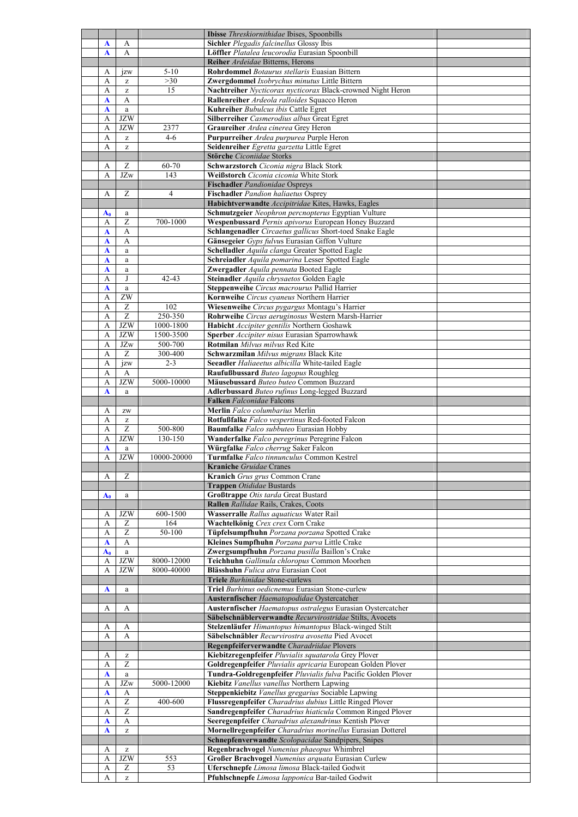|              |                                                       |                | Ibisse Threskiornithidae Ibises, Spoonbills                                                        |  |
|--------------|-------------------------------------------------------|----------------|----------------------------------------------------------------------------------------------------|--|
|              | A                                                     |                | Sichler Plegadis falcinellus Glossy Ibis                                                           |  |
| A            |                                                       |                |                                                                                                    |  |
| A            | A                                                     |                | Löffler Platalea leucorodia Eurasian Spoonbill                                                     |  |
|              |                                                       |                | Reiher Ardeidae Bitterns, Herons                                                                   |  |
| А            | $\overline{1}$ zw                                     | $5 - 10$       | Rohrdommel Botaurus stellaris Euasian Bittern                                                      |  |
| А            | z                                                     | >30            | Zwergdommel Ixobrychus minutus Little Bittern                                                      |  |
| А            | Z                                                     | 15             | Nachtreiher Nycticorax nycticorax Black-crowned Night Heron                                        |  |
| $\mathbf A$  | A                                                     |                | Rallenreiher Ardeola ralloides Squacco Heron                                                       |  |
|              |                                                       |                | Kuhreiher Bubulcus ibis Cattle Egret                                                               |  |
| A            | $\rm{a}$                                              |                |                                                                                                    |  |
| А            | <b>JZW</b>                                            |                | Silberreiher Casmerodius albus Great Egret                                                         |  |
| А            | <b>JZW</b>                                            | 2377           | Graureiher Ardea cinerea Grey Heron                                                                |  |
| А            | $\mathbf{Z}% ^{T}=\mathbf{Z}^{T}\times\mathbf{Z}^{T}$ | $4 - 6$        | Purpurreiher Ardea purpurea Purple Heron                                                           |  |
| A            | $\mathbf{Z}% ^{T}=\mathbf{Z}^{T}\times\mathbf{Z}^{T}$ |                | Seidenreiher Egretta garzetta Little Egret                                                         |  |
|              |                                                       |                | Störche Ciconiidae Storks                                                                          |  |
| А            | Ζ                                                     | 60-70          | Schwarzstorch Ciconia nigra Black Stork                                                            |  |
| A            | JZw                                                   | 143            | Weißstorch Ciconia ciconia White Stork                                                             |  |
|              |                                                       |                |                                                                                                    |  |
|              |                                                       |                | <b>Fischadler</b> Pandionidae Ospreys                                                              |  |
| А            | Z                                                     | $\overline{4}$ | Fischadler Pandion haliaetus Osprey                                                                |  |
|              |                                                       |                | Habichtverwandte Accipitridae Kites, Hawks, Eagles                                                 |  |
| $A_0$        | a                                                     |                | Schmutzgeier Neophron percnopterus Egyptian Vulture                                                |  |
| А            | Z                                                     | 700-1000       | Wespenbussard Pernis apivorus European Honey Buzzard                                               |  |
| A            | A                                                     |                | Schlangenadler Circaetus gallicus Short-toed Snake Eagle                                           |  |
| $\mathbf A$  | A                                                     |                | Gänsegeier Gyps fulvus Eurasian Giffon Vulture                                                     |  |
|              |                                                       |                |                                                                                                    |  |
| A            | $\mathbf a$                                           |                | Schelladler Aquila clanga Greater Spotted Eagle                                                    |  |
| $\mathbf{A}$ | $\mathbf{a}$                                          |                | Schreiadler Aquila pomarina Lesser Spotted Eagle                                                   |  |
| A            | $\rm{a}$                                              |                | Zwergadler Aquila pennata Booted Eagle                                                             |  |
| А            | J                                                     | $42 - 43$      | Steinadler Aquila chrysaetos Golden Eagle                                                          |  |
| A            | $\mathbf{a}$                                          |                | Steppenweihe Circus macrourus Pallid Harrier                                                       |  |
| А            | ZW                                                    |                | Kornweihe Circus cvaneus Northern Harrier                                                          |  |
|              |                                                       |                |                                                                                                    |  |
| A            | $\boldsymbol{Z}$                                      | 102            | Wiesenweihe Circus pygargus Montagu's Harrier                                                      |  |
| A            | $\overline{z}$                                        | $250 - 350$    | Rohrweihe Circus aeruginosus Western Marsh-Harrier                                                 |  |
| А            | $\rm JZW$                                             | 1000-1800      | Habicht Accipiter gentilis Northern Goshawk                                                        |  |
| А            | <b>JZW</b>                                            | 1500-3500      | <b>Sperber</b> <i>Accipiter nisus</i> Eurasian Sparrowhawk                                         |  |
| A            | $\rm JZw$                                             | 500-700        | Rotmilan Milvus milvus Red Kite                                                                    |  |
| А            | $\overline{z}$                                        | 300-400        | Schwarzmilan Milvus migrans Black Kite                                                             |  |
| А            | jzw                                                   | $2 - 3$        | Seeadler Haliaeetus albicilla White-tailed Eagle                                                   |  |
|              |                                                       |                |                                                                                                    |  |
| А            | A                                                     |                | Raufußbussard Buteo lagopus Roughleg                                                               |  |
| А            | <b>JZW</b>                                            | 5000-10000     | Mäusebussard Buteo buteo Common Buzzard                                                            |  |
| $\mathbf A$  | a                                                     |                | Adlerbussard Buteo rufinus Long-legged Buzzard                                                     |  |
|              |                                                       |                | Falken Falconidae Falcons                                                                          |  |
| А            | $\mathbf{Z}\mathbf{W}$                                |                | Merlin Falco columbarius Merlin                                                                    |  |
| А            | $\mathbf{Z}% ^{T}=\mathbf{Z}^{T}\times\mathbf{Z}^{T}$ |                | Rotfußfalke Falco vespertinus Red-footed Falcon                                                    |  |
| А            | Z                                                     | 500-800        | Baumfalke Falco subbuteo Eurasian Hobby                                                            |  |
|              | <b>JZW</b>                                            |                |                                                                                                    |  |
| A            |                                                       | 130-150        | Wanderfalke Falco peregrinus Peregrine Falcon                                                      |  |
| A            | $\rm{a}$                                              |                | Würgfalke Falco cherrug Saker Falcon                                                               |  |
| A            | <b>JZW</b>                                            | 10000-20000    | Turmfalke Falco tinnunculus Common Kestrel                                                         |  |
|              |                                                       |                | <b>Kraniche</b> Gruidae Cranes                                                                     |  |
| А            | Ζ                                                     |                | Kranich Grus grus Common Crane                                                                     |  |
|              |                                                       |                | Trappen Otididae Bustards                                                                          |  |
|              |                                                       |                | <b>Großtrappe Otis tarda Great Bustard</b>                                                         |  |
| $A_0$        | $\mathbf{a}$                                          |                |                                                                                                    |  |
|              |                                                       |                | Rallen Rallidae Rails, Crakes, Coots                                                               |  |
| А            | <b>JZW</b>                                            | 600-1500       |                                                                                                    |  |
| A            | Ζ                                                     |                | Wasserralle Rallus aquaticus Water Rail                                                            |  |
| А            |                                                       | 164            | Wachtelkönig Crex crex Corn Crake                                                                  |  |
|              | Z                                                     | 50-100         |                                                                                                    |  |
| $\mathbf A$  | A                                                     |                | Tüpfelsumpfhuhn Porzana porzana Spotted Crake                                                      |  |
|              |                                                       |                | Kleines Sumpfhuhn Porzana parva Little Crake                                                       |  |
| $A_0$        | a                                                     |                | Zwergsumpfhuhn Porzana pusilla Baillon's Crake                                                     |  |
| А            | <b>JZW</b>                                            | 8000-12000     | Teichhuhn Gallinula chloropus Common Moorhen                                                       |  |
| А            | <b>JZW</b>                                            | 8000-40000     | Blässhuhn Fulica atra Eurasian Coot                                                                |  |
|              |                                                       |                | <b>Triele</b> Burhinidae Stone-curlews                                                             |  |
| A            | $\mathbf{a}$                                          |                | Triel Burhinus oedicnemus Eurasian Stone-curlew                                                    |  |
|              |                                                       |                | Austernfischer Haematopodidae Oystercatcher                                                        |  |
| А            | A                                                     |                |                                                                                                    |  |
|              |                                                       |                | Austernfischer Haematopus ostralegus Eurasian Oystercatcher                                        |  |
|              |                                                       |                | Säbelschnäblerverwandte Recurvirostridae Stilts, Avocets                                           |  |
| A            | A                                                     |                | Stelzenläufer Himantopus himantopus Black-winged Stilt                                             |  |
| A            | A                                                     |                | Säbelschnäbler Recurvirostra avosetta Pied Avocet                                                  |  |
|              |                                                       |                | Regenpfeiferverwandte Charadriidae Plovers                                                         |  |
| А            | $\mathbf{Z}% ^{T}=\mathbf{Z}^{T}\times\mathbf{Z}^{T}$ |                | Kiebitzregenpfeifer Pluvialis squatarola Grey Plover                                               |  |
| A            | Z                                                     |                | Goldregenpfeifer Pluvialis apricaria European Golden Plover                                        |  |
| A            |                                                       |                |                                                                                                    |  |
|              | a                                                     |                | Tundra-Goldregenpfeifer Pluvialis fulva Pacific Golden Plover                                      |  |
| А            | $\rm JZw$                                             | 5000-12000     | Kiebitz Vanellus vanellus Northern Lapwing                                                         |  |
| A            | A                                                     |                | Steppenkiebitz Vanellus gregarius Sociable Lapwing                                                 |  |
| А            | $\overline{z}$                                        | 400-600        | Flussregenpfeifer Charadrius dubius Little Ringed Plover                                           |  |
| A            | $\overline{z}$                                        |                | Sandregenpfeifer Charadrius hiaticula Common Ringed Plover                                         |  |
| A            | A                                                     |                | Seeregenpfeifer Charadrius alexandrinus Kentish Plover                                             |  |
| A            | $\mathbf{Z}% ^{T}=\mathbf{Z}^{T}\times\mathbf{Z}^{T}$ |                | Mornellregenpfeifer Charadrius morinellus Eurasian Dotterel                                        |  |
|              |                                                       |                |                                                                                                    |  |
|              |                                                       |                | Schnepfenverwandte Scolopacidae Sandpipers, Snipes                                                 |  |
| А            | z                                                     |                | Regenbrachvogel Numenius phaeopus Whimbrel                                                         |  |
| А            | <b>JZW</b>                                            | 553            | Großer Brachvogel Numenius arquata Eurasian Curlew                                                 |  |
| A<br>А       | Ζ<br>$\bar{z}$                                        | 53             | Uferschnepfe Limosa limosa Black-tailed Godwit<br>Pfuhlschnepfe Limosa lapponica Bar-tailed Godwit |  |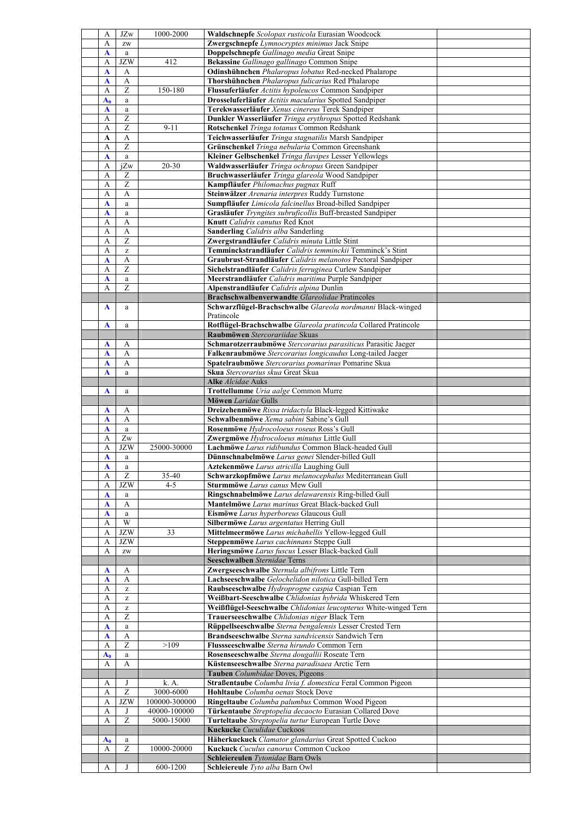| A            | <b>JZw</b>                                            | 1000-2000     | Waldschnepfe Scolopax rusticola Eurasian Woodcock                    |  |
|--------------|-------------------------------------------------------|---------------|----------------------------------------------------------------------|--|
| А            | $\mathbf{Z}\mathbf{W}$                                |               | Zwergschnepfe Lymnocryptes minimus Jack Snipe                        |  |
|              |                                                       |               |                                                                      |  |
| A            | $\mathbf{a}$                                          |               | Doppelschnepfe Gallinago media Great Snipe                           |  |
| А            | <b>JZW</b>                                            | 412           | Bekassine Gallinago gallinago Common Snipe                           |  |
| A            | A                                                     |               | Odinshühnchen Phalaropus lobatus Red-necked Phalarope                |  |
| A            | A                                                     |               | Thorshühnchen Phalaropus fulicarius Red Phalarope                    |  |
| А            | $\overline{z}$                                        | 150-180       | Flussuferläufer Actitis hypoleucos Common Sandpiper                  |  |
|              |                                                       |               | Drosseluferläufer Actitis macularius Spotted Sandpiper               |  |
| $A_0$        | $\mathbf{a}$                                          |               |                                                                      |  |
| A            | a                                                     |               | Terekwasserläufer Xenus cinereus Terek Sandpiper                     |  |
| А            | Z                                                     |               | Dunkler Wasserläufer Tringa erythropus Spotted Redshank              |  |
| А            | Ζ                                                     | $9 - 11$      | Rotschenkel Tringa totanus Common Redshank                           |  |
| A            | A                                                     |               | Teichwasserläufer Tringa stagnatilis Marsh Sandpiper                 |  |
| A            | $\overline{z}$                                        |               | Grünschenkel Tringa nebularia Common Greenshank                      |  |
|              |                                                       |               |                                                                      |  |
| A            | $\rm{a}$                                              |               | Kleiner Gelbschenkel Tringa flavipes Lesser Yellowlegs               |  |
| А            | iZw                                                   | $20 - 30$     | Waldwasserläufer Tringa ochropus Green Sandpiper                     |  |
| A            | Ζ                                                     |               | Bruchwasserläufer Tringa glareola Wood Sandpiper                     |  |
| А            | Z                                                     |               | Kampfläufer Philomachus pugnax Ruff                                  |  |
| А            | A                                                     |               | Steinwälzer Arenaria interpres Ruddy Turnstone                       |  |
| A            | $\mathbf{a}$                                          |               | Sumpfläufer Limicola falcinellus Broad-billed Sandpiper              |  |
|              |                                                       |               | Grasläufer Tryngites subruficollis Buff-breasted Sandpiper           |  |
| A            | $\mathbf{a}$                                          |               |                                                                      |  |
| A            | A                                                     |               | Knutt Calidris canutus Red Knot                                      |  |
| А            | A                                                     |               | <b>Sanderling</b> Calidris alba Sanderling                           |  |
| А            | Z                                                     |               | Zwergstrandläufer Calidris minuta Little Stint                       |  |
| А            | $\mathbf{Z}% ^{T}=\mathbf{Z}^{T}\times\mathbf{Z}^{T}$ |               | Temminckstrandläufer Calidris temminckii Temminck's Stint            |  |
| A            | A                                                     |               | Graubrust-Strandläufer Calidris melanotos Pectoral Sandpiper         |  |
|              | $\overline{z}$                                        |               |                                                                      |  |
| A            |                                                       |               | Sichelstrandläufer Calidris ferruginea Curlew Sandpiper              |  |
| A            | a                                                     |               | Meerstrandläufer Calidris maritima Purple Sandpiper                  |  |
| А            | Z                                                     |               | Alpenstrandläufer Calidris alpina Dunlin                             |  |
|              |                                                       |               | Brachschwalbenverwandte Glareolidae Pratincoles                      |  |
| A            | a                                                     |               | Schwarzflügel-Brachschwalbe Glareola nordmanni Black-winged          |  |
|              |                                                       |               | Pratincole                                                           |  |
| A            | a                                                     |               | Rotflügel-Brachschwalbe Glareola pratincola Collared Pratincole      |  |
|              |                                                       |               |                                                                      |  |
|              |                                                       |               | Raubmöwen Stercorariidae Skuas                                       |  |
| A            | А                                                     |               | Schmarotzerraubmöwe Stercorarius parasiticus Parasitic Jaeger        |  |
| A            | A                                                     |               | Falkenraubmöwe Stercorarius longicaudus Long-tailed Jaeger           |  |
| A            | A                                                     |               | Spatelraubmöwe Stercorarius pomarinus Pomarine Skua                  |  |
| A            | $\mathbf{a}$                                          |               | Skua Stercorarius skua Great Skua                                    |  |
|              |                                                       |               |                                                                      |  |
|              |                                                       |               | Alke Alcidae Auks                                                    |  |
| A            | a                                                     |               | Trottellumme Uria aalge Common Murre                                 |  |
|              |                                                       |               | Möwen Laridae Gulls                                                  |  |
|              |                                                       |               |                                                                      |  |
| A            | A                                                     |               | Dreizehenmöwe Rissa tridactyla Black-legged Kittiwake                |  |
| A            | A                                                     |               | Schwalbenmöwe Xema sabini Sabine's Gull                              |  |
|              |                                                       |               |                                                                      |  |
| A            | $\rm{a}$                                              |               | Rosenmöwe Hydrocoloeus roseus Ross's Gull                            |  |
| А            | $\mathbf{Z} \mathbf{w}$                               |               | Zwergmöwe Hydrocoloeus minutus Little Gull                           |  |
| А            | <b>JZW</b>                                            | 25000-30000   | Lachmöwe Larus ridibundus Common Black-headed Gull                   |  |
| A            | $\mathbf{a}$                                          |               | Dünnschnabelmöwe Larus genei Slender-billed Gull                     |  |
| A            | a                                                     |               | Aztekenmöwe Larus atricilla Laughing Gull                            |  |
| A            | $\overline{z}$                                        | 35-40         | Schwarzkopfmöwe Larus melanocephalus Mediterranean Gull              |  |
|              |                                                       | $4 - 5$       |                                                                      |  |
| А            | <b>JZW</b>                                            |               | Sturmmöwe Larus canus Mew Gull                                       |  |
| A            | $\rm{a}$                                              |               | Ringschnabelmöwe Larus delawarensis Ring-billed Gull                 |  |
| A            | A                                                     |               | Mantelmöwe Larus marinus Great Black-backed Gull                     |  |
| $\mathbf A$  | $\mathbf{a}$                                          |               | Eismöwe Larus hyperboreus Glaucous Gull                              |  |
| А            | W                                                     |               | Silbermöwe Larus argentatus Herring Gull                             |  |
| А            | <b>JZW</b>                                            | 33            | Mittelmeermöwe Larus michahellis Yellow-legged Gull                  |  |
| А            | <b>JZW</b>                                            |               | Steppenmöwe Larus cachinnans Steppe Gull                             |  |
| A            | ZW                                                    |               |                                                                      |  |
|              |                                                       |               | Heringsmöwe Larus fuscus Lesser Black-backed Gull                    |  |
|              |                                                       |               | Seeschwalben Sternidae Terns                                         |  |
| A            | A                                                     |               | Zwergseeschwalbe Sternula albifrons Little Tern                      |  |
| A            | А                                                     |               | Lachseeschwalbe Gelochelidon nilotica Gull-billed Tern               |  |
| A            | $\mathbf{Z}% ^{T}=\mathbf{Z}^{T}\times\mathbf{Z}^{T}$ |               | Raubseeschwalbe Hydroprogne caspia Caspian Tern                      |  |
| А            | z                                                     |               | Weißbart-Seeschwalbe Chlidonias hybrida Whiskered Tern               |  |
| А            | Z                                                     |               | Weißflügel-Seeschwalbe Chlidonias leucopterus White-winged Tern      |  |
| А            | Ζ                                                     |               | Trauerseeschwalbe Chlidonias niger Black Tern                        |  |
|              |                                                       |               |                                                                      |  |
| $\mathbf{A}$ | $\rm{a}$                                              |               | Rüppellseeschwalbe Sterna bengalensis Lesser Crested Tern            |  |
| A            | $\mathbf{A}$                                          |               | Brandseeschwalbe Sterna sandvicensis Sandwich Tern                   |  |
| A            | Ζ                                                     | >109          | Flussseeschwalbe Sterna hirundo Common Tern                          |  |
| $A_0$        | $\rm{a}$                                              |               | Rosenseeschwalbe Sterna dougallii Roseate Tern                       |  |
| A            | A                                                     |               | Küstenseeschwalbe Sterna paradisaea Arctic Tern                      |  |
|              |                                                       |               |                                                                      |  |
|              |                                                       |               | Tauben Columbidae Doves, Pigeons                                     |  |
| A            | J                                                     | k. A.         | Straßentaube Columba livia f. domestica Feral Common Pigeon          |  |
| А            | Ζ                                                     | 3000-6000     | Hohltaube Columba oenas Stock Dove                                   |  |
| A            | <b>JZW</b>                                            | 100000-300000 | Ringeltaube Columba palumbus Common Wood Pigeon                      |  |
| A            | J                                                     | 40000-100000  | Türkentaube Streptopelia decaocto Eurasian Collared Dove             |  |
| A            | Ζ                                                     | 5000-15000    | Turteltaube Streptopelia turtur European Turtle Dove                 |  |
|              |                                                       |               | Kuckucke Cuculidae Cuckoos                                           |  |
|              |                                                       |               |                                                                      |  |
| $A_0$        | a                                                     |               | Häherkuckuck Clamator glandarius Great Spotted Cuckoo                |  |
| А            | Z                                                     | 10000-20000   | Kuckuck Cuculus canorus Common Cuckoo                                |  |
| А            | J                                                     | 600-1200      | Schleiereulen Tytonidae Barn Owls<br>Schleiereule Tyto alba Barn Owl |  |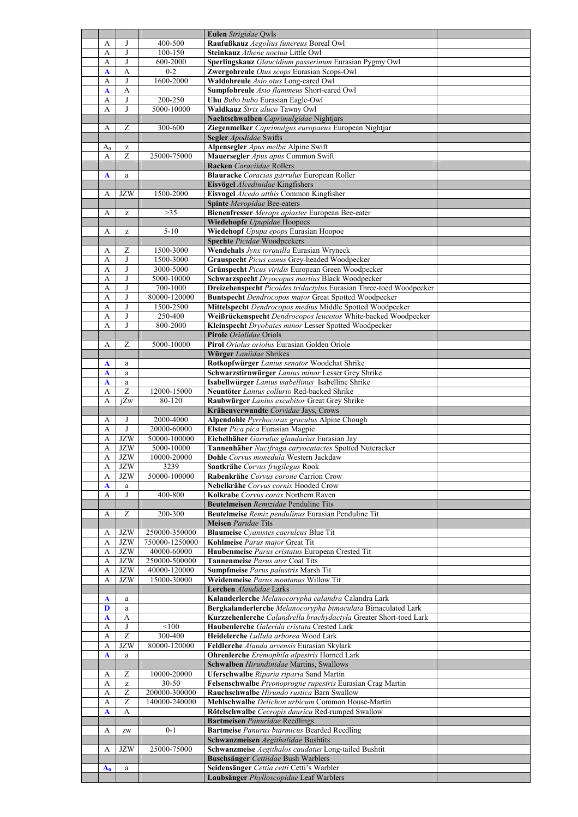|       |                                                       |                | Eulen Strigidae Qwls                                                                 |  |
|-------|-------------------------------------------------------|----------------|--------------------------------------------------------------------------------------|--|
| А     | J                                                     | 400-500        | Raufußkauz Aegolius funereus Boreal Owl                                              |  |
| А     | J                                                     | $100 - 150$    | Steinkauz Athene noctua Little Owl                                                   |  |
| А     | J                                                     | 600-2000       | Sperlingskauz Glaucidium passerinum Eurasian Pygmy Owl                               |  |
|       |                                                       | $0 - 2$        | Zwergohreule Otus scops Eurasian Scops-Owl                                           |  |
| A     | A                                                     |                |                                                                                      |  |
| А     | J                                                     | 1600-2000      | Waldohreule Asio otus Long-eared Owl                                                 |  |
| A     | А                                                     |                | Sumpfohreule Asio flammeus Short-eared Owl                                           |  |
| A     | J                                                     | 200-250        | Uhu Bubo bubo Eurasian Eagle-Owl                                                     |  |
| А     | J                                                     | 5000-10000     | Waldkauz Strix aluco Tawny Owl                                                       |  |
|       |                                                       |                | Nachtschwalben Caprimulgidae Nightjars                                               |  |
| А     | Ζ                                                     | 300-600        | Ziegenmelker Caprimulgus europaeus European Nightjar                                 |  |
|       |                                                       |                | Segler Apodidae Swifts                                                               |  |
| $A_0$ | $\mathbf{Z}% ^{T}=\mathbf{Z}^{T}\times\mathbf{Z}^{T}$ |                | Alpensegler Apus melba Alpine Swift                                                  |  |
| А     | Z                                                     | 25000-75000    | Mauersegler Apus apus Common Swift                                                   |  |
|       |                                                       |                | Racken Coraciidae Rollers                                                            |  |
| A     | a                                                     |                | Blauracke Coracias garrulus European Roller                                          |  |
|       |                                                       |                | Eisvögel Alcedinidae Kingfishers                                                     |  |
| А     | <b>JZW</b>                                            | 1500-2000      | Eisvogel Alcedo atthis Common Kingfisher                                             |  |
|       |                                                       |                |                                                                                      |  |
|       |                                                       |                | Spinte Meropidae Bee-eaters                                                          |  |
| А     | $\mathbf{Z}% ^{T}=\mathbf{Z}^{T}\times\mathbf{Z}^{T}$ | >35            | Bienenfresser Merops apiaster European Bee-eater                                     |  |
|       |                                                       |                | Wiedehopfe Upupidae Hoopoes                                                          |  |
| A     | z                                                     | $5 - 10$       | Wiedehopf Upupa epops Eurasian Hoopoe                                                |  |
|       |                                                       |                | Spechte Picidae Woodpeckers                                                          |  |
| А     | Ζ                                                     | 1500-3000      | Wendehals Jynx torquilla Eurasian Wryneck                                            |  |
| A     | J                                                     | 1500-3000      | Grauspecht Picus canus Grey-headed Woodpecker                                        |  |
| A     | J                                                     | 3000-5000      | Grünspecht Picus viridis European Green Woodpecker                                   |  |
| А     | J                                                     | 5000-10000     | Schwarzspecht Dryocopus martius Black Woodpecker                                     |  |
| A     | J                                                     | 700-1000       | Dreizehenspecht Picoides tridactylus Eurasian Three-toed Woodpecker                  |  |
| A     | J                                                     | 80000-120000   | Buntspecht Dendrocopos major Great Spotted Woodpecker                                |  |
| А     | J                                                     | 1500-2500      | Mittelspecht Dendrocopos medius Middle Spotted Woodpecker                            |  |
| А     | J                                                     | 250-400        | Weißrückenspecht Dendrocopos leucotos White-backed Woodpecker                        |  |
| A     | I                                                     | 800-2000       | Kleinspecht Dryobates minor Lesser Spotted Woodpecker                                |  |
|       |                                                       |                | Pirole Oriolidae Oriols                                                              |  |
| А     | Ζ                                                     | 5000-10000     | Pirol Oriolus oriolus Eurasian Golden Oriole                                         |  |
|       |                                                       |                | Würger Laniidae Shrikes                                                              |  |
|       |                                                       |                |                                                                                      |  |
| A     | a                                                     |                | Rotkopfwürger Lanius senator Woodchat Shrike                                         |  |
| A     | $\mathbf{a}$                                          |                | Schwarzstirnwürger Lanius minor Lesser Grey Shrike                                   |  |
| A     | a                                                     |                | Isabellwürger Lanius isabellinus Isabelline Shrike                                   |  |
| А     | $\overline{z}$                                        | 12000-15000    | Neuntöter Lanius collurio Red-backed Shrike                                          |  |
| А     | iZw                                                   | $80 - 120$     | Raubwürger Lanius excubitor Great Grey Shrike                                        |  |
|       |                                                       |                | Krähenverwandte Corvidae Jays, Crows                                                 |  |
|       |                                                       |                |                                                                                      |  |
| А     | J                                                     | 2000-4000      | Alpendohle Pyrrhocorax graculus Alpine Chough                                        |  |
| А     | J                                                     | 20000-60000    | Elster Pica pica Eurasian Magpie                                                     |  |
| А     | <b>JZW</b>                                            | 50000-100000   | Eichelhäher Garrulus glandarius Eurasian Jay                                         |  |
| A     | <b>JZW</b>                                            | 5000-10000     | Tannenhäher Nucifraga caryocatactes Spotted Nutcracker                               |  |
| A     | <b>JZW</b>                                            | 10000-20000    | Dohle Corvus monedula Western Jackdaw                                                |  |
| A     | JZW                                                   | 3239           | Saatkrähe Corvus frugilegus Rook                                                     |  |
| А     | <b>JZW</b>                                            | 50000-100000   | Rabenkrähe Corvus corone Carrion Crow                                                |  |
| A     | a                                                     |                | Nebelkrähe Corvus cornix Hooded Crow                                                 |  |
| А     | J                                                     | 400-800        | Kolkrabe Corvus corax Northern Raven                                                 |  |
|       |                                                       |                | Beutelmeisen Remizidae Penduline Tits                                                |  |
| А     | Z                                                     | 200-300        | Beutelmeise Remiz pendulinus Eurasian Penduline Tit                                  |  |
|       |                                                       |                | <b>Meisen</b> Paridae Tits                                                           |  |
| А     | <b>JZW</b>                                            | 250000-350000  | <b>Blaumeise</b> Cyanistes caeruleus Blue Tit                                        |  |
| А     |                                                       |                |                                                                                      |  |
|       | <b>JZW</b>                                            | 750000-1250000 | Kohlmeise Parus major Great Tit                                                      |  |
| А     | <b>JZW</b>                                            | 40000-60000    | Haubenmeise Parus cristatus European Crested Tit                                     |  |
| А     | <b>JZW</b>                                            | 250000-500000  | Tannenmeise Parus ater Coal Tits                                                     |  |
| А     | <b>JZW</b>                                            | 40000-120000   | Sumpfmeise Parus palustris Marsh Tit                                                 |  |
| А     | <b>JZW</b>                                            | 15000-30000    | Weidenmeise Parus montanus Willow Tit                                                |  |
|       |                                                       |                | Lerchen Alaudidae Larks                                                              |  |
| A     | a                                                     |                | Kalanderlerche Melanocorypha calandra Calandra Lark                                  |  |
| D     | a                                                     |                | Bergkalanderlerche Melanocorypha bimaculata Bimaculated Lark                         |  |
| A     | A                                                     |                | Kurzzehenlerche Calandrella brachydactyla Greater Short-toed Lark                    |  |
| A     | J                                                     | < 100          | Haubenlerche Galerida cristata Crested Lark                                          |  |
| А     | $\overline{z}$                                        | 300-400        | Heidelerche Lullula arborea Wood Lark                                                |  |
| A     | <b>JZW</b>                                            | 80000-120000   | Feldlerche Alauda arvensis Eurasian Skylark                                          |  |
| A     | a                                                     |                | Ohrenlerche Eremophila alpestris Horned Lark                                         |  |
|       |                                                       |                | Schwalben Hirundinidae Martins, Swallows                                             |  |
| А     | Ζ                                                     | 10000-20000    | Uferschwalbe Riparia riparia Sand Martin                                             |  |
| А     | $\mathbf{Z}% ^{T}=\mathbf{Z}^{T}\times\mathbf{Z}^{T}$ | 30-50          | Felsenschwalbe Ptyonoprogne rupestris Eurasian Crag Martin                           |  |
| А     | Z                                                     | 200000-300000  | Rauchschwalbe Hirundo rustica Barn Swallow                                           |  |
| А     | Ζ                                                     | 140000-240000  | Mehlschwalbe Delichon urbicum Common House-Martin                                    |  |
| A     | A                                                     |                | Rötelschwalbe Cecropis daurica Red-rumped Swallow                                    |  |
|       |                                                       |                | Bartmeisen Panuridae Reedlings                                                       |  |
| А     | ZW                                                    | $0 - 1$        | <b>Bartmeise</b> Panurus biarmicus Bearded Reedling                                  |  |
|       |                                                       |                | Schwanzmeisen Aegithalidae Bushtits                                                  |  |
| A     | JZW                                                   | 25000-75000    |                                                                                      |  |
|       |                                                       |                | Schwanzmeise Aegithalos caudatus Long-tailed Bushtit                                 |  |
|       | a                                                     |                | Buschsänger Cettiidae Bush Warblers                                                  |  |
| $A_0$ |                                                       |                | Seidensänger Cettia cetti Cetti's Warbler<br>Laubsänger Phylloscopidae Leaf Warblers |  |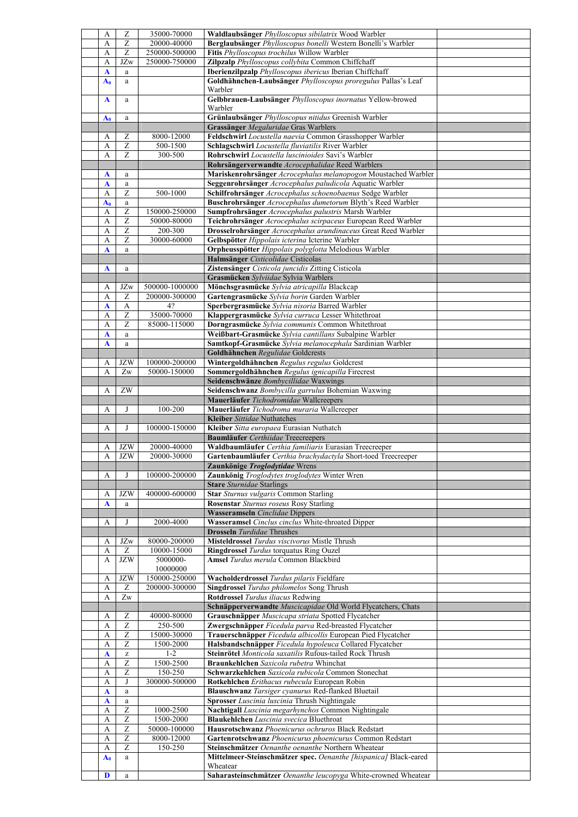| А              | Z                      | 35000-70000    | Waldlaubsänger Phylloscopus sibilatrix Wood Warbler                        |  |
|----------------|------------------------|----------------|----------------------------------------------------------------------------|--|
|                |                        |                |                                                                            |  |
| А              | Ζ                      | 20000-40000    | Berglaubsänger Phylloscopus bonelli Western Bonelli's Warbler              |  |
| A              | Z                      | 250000-500000  | Fitis Phylloscopus trochilus Willow Warbler                                |  |
| A              | JZw                    | 250000-750000  | Zilpzalp Phylloscopus collybita Common Chiffchaff                          |  |
| $\mathbf{A}$   | $\mathbf a$            |                | Iberienzilpzalp Phylloscopus ibericus Iberian Chiffchaff                   |  |
|                |                        |                |                                                                            |  |
| $A_0$          | $\mathbf{a}$           |                | Goldhähnchen-Laubsänger Phylloscopus proregulus Pallas's Leaf              |  |
|                |                        |                | Warbler                                                                    |  |
| A              | $\mathbf{a}$           |                | Gelbbrauen-Laubsänger Phylloscopus inornatus Yellow-browed                 |  |
|                |                        |                | Warbler                                                                    |  |
|                |                        |                |                                                                            |  |
| $A_0$          | a                      |                | Grünlaubsänger Phylloscopus nitidus Greenish Warbler                       |  |
|                |                        |                | Grassänger Megaluridae Gras Warblers                                       |  |
| A              | Z                      | 8000-12000     | Feldschwirl Locustella naevia Common Grasshopper Warbler                   |  |
| А              | Z                      | 500-1500       | Schlagschwirl Locustella fluviatilis River Warbler                         |  |
|                |                        |                |                                                                            |  |
| A              | $\overline{z}$         | 300-500        | Rohrschwirl Locustella luscinioides Savi's Warbler                         |  |
|                |                        |                | Rohrsängerverwandte Acrocephalidae Reed Warblers                           |  |
| A              | a                      |                | Mariskenrohrsänger Acrocephalus melanopogon Moustached Warbler             |  |
|                |                        |                |                                                                            |  |
| A              | $\rm{a}$               |                | Seggenrohrsänger Acrocephalus paludicola Aquatic Warbler                   |  |
| A              | Z                      | 500-1000       | Schilfrohrsänger Acrocephalus schoenobaenus Sedge Warbler                  |  |
| $\mathbf{A_0}$ | $\rm{a}$               |                | Buschrohrsänger Acrocephalus dumetorum Blyth's Reed Warbler                |  |
| А              | Z                      | 150000-250000  | Sumpfrohrsänger Acrocephalus palustris Marsh Warbler                       |  |
|                |                        |                |                                                                            |  |
| А              | Z                      | 50000-80000    | Teichrohrsänger Acrocephalus scirpaceus European Reed Warbler              |  |
| А              | Z                      | 200-300        | Drosselrohrsänger Acrocephalus arundinaceus Great Reed Warbler             |  |
| A              | Z                      | 30000-60000    | Gelbspötter Hippolais icterina Icterine Warbler                            |  |
| A              | $\mathbf{a}$           |                | Orpheusspötter Hippolais polyglotta Melodious Warbler                      |  |
|                |                        |                |                                                                            |  |
|                |                        |                | Halmsänger Cisticolidae Cisticolas                                         |  |
| A              | a                      |                | Zistensänger Cisticola juncidis Zitting Cisticola                          |  |
|                |                        |                | Grasmücken Sylviidae Sylvia Warblers                                       |  |
|                |                        |                |                                                                            |  |
| А              | JZw                    | 500000-1000000 | Mönchsgrasmücke Sylvia atricapilla Blackcap                                |  |
| A              | Ζ                      | 200000-300000  | Gartengrasmücke Sylvia borin Garden Warbler                                |  |
| A              | A                      | 4?             | Sperbergrasmücke Sylvia nisoria Barred Warbler                             |  |
| A              | Z                      | 35000-70000    | Klappergrasmücke Sylvia curruca Lesser Whitethroat                         |  |
|                |                        |                |                                                                            |  |
| А              | $\overline{z}$         | 85000-115000   | Dorngrasmücke Sylvia communis Common Whitethroat                           |  |
| A              | $\mathbf{a}$           |                | Weißbart-Grasmücke Sylvia cantillans Subalpine Warbler                     |  |
| A              | $\mathbf a$            |                | Samtkopf-Grasmücke Sylvia melanocephala Sardinian Warbler                  |  |
|                |                        |                |                                                                            |  |
|                |                        |                | Goldhähnchen Regulidae Goldcrests                                          |  |
| А              | <b>JZW</b>             | 100000-200000  | Wintergoldhähnchen Regulus regulus Goldcrest                               |  |
| A              | Zw                     | 50000-150000   | Sommergoldhähnchen Regulus ignicapilla Firecrest                           |  |
|                |                        |                | Seidenschwänze Bombycillidae Waxwings                                      |  |
|                |                        |                |                                                                            |  |
| А              | $\mathbf{Z}\mathbf{W}$ |                | Seidenschwanz Bombycilla garrulus Bohemian Waxwing                         |  |
|                |                        |                | Mauerläufer Tichodromidae Wallcreepers                                     |  |
| A              | J                      | 100-200        | Mauerläufer Tichodroma muraria Wallcreeper                                 |  |
|                |                        |                | Kleiber Sittidae Nuthatches                                                |  |
|                |                        |                |                                                                            |  |
| A              | J                      | 100000-150000  | Kleiber Sitta europaea Eurasian Nuthatch                                   |  |
|                |                        |                | Baumläufer Certhiidae Treecreepers                                         |  |
| А              |                        | 20000-40000    | Waldbaumläufer Certhia familiaris Eurasian Treecreeper                     |  |
|                |                        |                |                                                                            |  |
|                | JZW                    |                |                                                                            |  |
| A              | <b>JZW</b>             | 20000-30000    | Gartenbaumläufer Certhia brachydactyla Short-toed Treecreeper              |  |
|                |                        |                | <b>Zaunkönige Troglodytidae</b> Wrens                                      |  |
| А              | J                      | 100000-200000  | Zaunkönig Troglodytes troglodytes Winter Wren                              |  |
|                |                        |                |                                                                            |  |
|                |                        |                | <b>Stare</b> Sturnidae Starlings                                           |  |
| А              | <b>JZW</b>             | 400000-600000  | Star Sturnus vulgaris Common Starling                                      |  |
| A              | $\mathbf{a}$           |                | Rosenstar Sturnus roseus Rosy Starling                                     |  |
|                |                        |                | <b>Wasseramseln</b> Cinclidae Dippers                                      |  |
|                |                        |                |                                                                            |  |
| А              | J                      | 2000-4000      | Wasseramsel Cinclus cinclus White-throated Dipper                          |  |
|                |                        |                | <b>Drosseln</b> Turdidae Thrushes                                          |  |
| A              | JZw                    | 80000-200000   | Misteldrossel Turdus viscivorus Mistle Thrush                              |  |
| А              | Ζ                      |                |                                                                            |  |
|                |                        | 10000-15000    | Ringdrossel Turdus torquatus Ring Ouzel                                    |  |
| A              | <b>JZW</b>             | 5000000-       | Amsel Turdus merula Common Blackbird                                       |  |
|                |                        | 10000000       |                                                                            |  |
| А              | <b>JZW</b>             | 150000-250000  | Wacholderdrossel Turdus pilaris Fieldfare                                  |  |
| A              | Ζ                      |                | Singdrossel Turdus philomelos Song Thrush                                  |  |
|                |                        | 200000-300000  |                                                                            |  |
| А              | Zw                     |                | Rotdrossel Turdus iliacus Redwing                                          |  |
|                |                        |                | Schnäpperverwandte Muscicapidae Old World Flycatchers, Chats               |  |
| A              | Ζ                      | 40000-80000    | Grauschnäpper Muscicapa striata Spotted Flycatcher                         |  |
| A              |                        | 250-500        |                                                                            |  |
|                | Z                      |                | Zwergschnäpper Ficedula parva Red-breasted Flycatcher                      |  |
| A              | Z                      | 15000-30000    | Trauerschnäpper Ficedula albicollis European Pied Flycatcher               |  |
| А              | $\overline{z}$         | 1500-2000      | Halsbandschnäpper Ficedula hypoleuca Collared Flycatcher                   |  |
| $\mathbf A$    | z                      | $1 - 2$        | Steinrötel Monticola saxatilis Rufous-tailed Rock Thrush                   |  |
|                |                        |                |                                                                            |  |
| А              | Z                      | 1500-2500      | Braunkehlchen Saxicola rubetra Whinchat                                    |  |
| А              | Z                      | 150-250        | Schwarzkehlchen Saxicola rubicola Common Stonechat                         |  |
| A              | J                      | 300000-500000  | Rotkehlchen Erithacus rubecula European Robin                              |  |
| A              | $\rm{a}$               |                |                                                                            |  |
|                |                        |                | Blauschwanz Tarsiger cyanurus Red-flanked Bluetail                         |  |
| $\mathbf{A}$   | $\rm{a}$               |                | Sprosser Luscinia luscinia Thrush Nightingale                              |  |
| A              | Z                      | 1000-2500      | Nachtigall Luscinia megarhynchos Common Nightingale                        |  |
| А              | Z                      | 1500-2000      | Blaukehlchen Luscinia svecica Bluethroat                                   |  |
|                |                        |                |                                                                            |  |
| A              | Z                      | 50000-100000   | Hausrotschwanz Phoenicurus ochruros Black Redstart                         |  |
| A              | Ζ                      | 8000-12000     | Gartenrotschwanz Phoenicurus phoenicurus Common Redstart                   |  |
| A              | Z                      | 150-250        | Steinschmätzer Oenanthe oenanthe Northern Wheatear                         |  |
| $A_0$          | a                      |                | Mittelmeer-Steinschmätzer spec. Oenanthe [hispanica] Black-eared           |  |
|                |                        |                |                                                                            |  |
| D              | $\rm{a}$               |                | Wheatear<br>Saharasteinschmätzer Oenanthe leucopyga White-crowned Wheatear |  |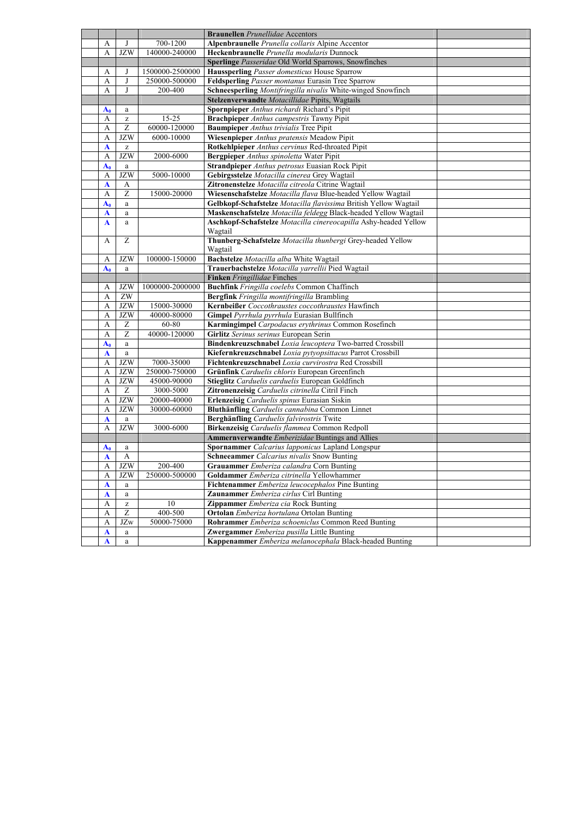|                |                                                       |                 | <b>Braunellen</b> Prunellidae Accentors                          |
|----------------|-------------------------------------------------------|-----------------|------------------------------------------------------------------|
| А              |                                                       | 700-1200        | Alpenbraunelle Prunella collaris Alpine Accentor                 |
| A              | <b>JZW</b>                                            | 140000-240000   | Heckenbraunelle Prunella modularis Dunnock                       |
|                |                                                       |                 | Sperlinge Passeridae Old World Sparrows, Snowfinches             |
| А              | J                                                     | 1500000-2500000 | Haussperling Passer domesticus House Sparrow                     |
| А              | J                                                     | 250000-500000   | Feldsperling Passer montanus Eurasin Tree Sparrow                |
| A              | J                                                     | 200-400         | Schneesperling Montifringilla nivalis White-winged Snowfinch     |
|                |                                                       |                 | Stelzenverwandte Motacillidae Pipits, Wagtails                   |
| $A_0$          | a                                                     |                 | Spornpieper Anthus richardi Richard's Pipit                      |
| A              | $\mathbf{Z}% ^{T}=\mathbf{Z}^{T}\times\mathbf{Z}^{T}$ | $15 - 25$       | <b>Brachpieper</b> Anthus campestris Tawny Pipit                 |
| А              | Z                                                     | 60000-120000    | <b>Baumpieper</b> Anthus trivialis Tree Pipit                    |
| А              | <b>JZW</b>                                            | 6000-10000      | Wiesenpieper Anthus pratensis Meadow Pipit                       |
| $\mathbf A$    | $\mathbf{Z}% ^{T}=\mathbf{Z}^{T}\times\mathbf{Z}^{T}$ |                 | Rotkehlpieper Anthus cervinus Red-throated Pipit                 |
| A              | <b>JZW</b>                                            | 2000-6000       | <b>Bergpieper</b> Anthus spinoletta Water Pipit                  |
| $A_0$          | a                                                     |                 | Strandpieper Anthus petrosus Euasian Rock Pipit                  |
| A              | <b>JZW</b>                                            | 5000-10000      | Gebirgsstelze Motacilla cinerea Grey Wagtail                     |
| $\mathbf A$    | A                                                     |                 | Zitronenstelze Motacilla citreola Citrine Wagtail                |
| А              | $\overline{z}$                                        | 15000-20000     | Wiesenschafstelze Motacilla flava Blue-headed Yellow Wagtail     |
| $A_0$          | a                                                     |                 | Gelbkopf-Schafstelze Motacilla flavissima British Yellow Wagtail |
| $\mathbf{A}$   | a                                                     |                 | Maskenschafstelze Motacilla feldegg Black-headed Yellow Wagtail  |
| $\mathbf A$    | $\mathbf{a}$                                          |                 | Aschkopf-Schafstelze Motacilla cinereocapilla Ashy-headed Yellow |
|                |                                                       |                 | Wagtail                                                          |
| A              | Z                                                     |                 | Thunberg-Schafstelze Motacilla thunbergi Grey-headed Yellow      |
|                |                                                       |                 | Wagtail                                                          |
| А              | <b>JZW</b>                                            | 100000-150000   | Bachstelze Motacilla alba White Wagtail                          |
| A <sub>0</sub> | a                                                     |                 | Trauerbachstelze Motacilla yarrellii Pied Wagtail                |
|                |                                                       |                 | Finken Fringillidae Finches                                      |
| A              | <b>JZW</b>                                            | 1000000-2000000 | Buchfink Fringilla coelebs Common Chaffinch                      |
| А              | $\rm ZW$                                              |                 | Bergfink Fringilla montifringilla Brambling                      |
| A              | <b>JZW</b>                                            | 15000-30000     | Kernbeißer Coccothraustes coccothraustes Hawfinch                |
| A              | <b>JZW</b>                                            | 40000-80000     | Gimpel Pyrrhula pyrrhula Eurasian Bullfinch                      |
| А              | Ζ                                                     | 60-80           | Karmingimpel Carpodacus erythrinus Common Rosefinch              |
| А              | $\overline{z}$                                        | 40000-120000    | Girlitz Serinus serinus European Serin                           |
| $A_0$          | a                                                     |                 | Bindenkreuzschnabel Loxia leucoptera Two-barred Crossbill        |
| A              | a                                                     |                 | Kiefernkreuzschnabel Loxia pytyopsittacus Parrot Crossbill       |
| А              | <b>JZW</b>                                            | 7000-35000      | Fichtenkreuzschnabel Loxia curvirostra Red Crossbill             |
| A              | <b>JZW</b>                                            | 250000-750000   | Grünfink Carduelis chloris European Greenfinch                   |
| А              | <b>JZW</b>                                            | 45000-90000     | Stieglitz Carduelis carduelis European Goldfinch                 |
| $\mathbf{A}$   | Z                                                     | 3000-5000       | Zitronenzeisig Carduelis citrinella Citril Finch                 |
| А              | <b>JZW</b>                                            | 20000-40000     | Erlenzeisig Carduelis spinus Eurasian Siskin                     |
| А              | <b>JZW</b>                                            | 30000-60000     | Bluthänfling Carduelis cannabina Common Linnet                   |
| A              | $\mathbf{a}$                                          |                 | Berghänfling Carduelis falvirostris Twite                        |
| A              | <b>JZW</b>                                            | 3000-6000       | Birkenzeisig Carduelis flammea Common Redpoll                    |
|                |                                                       |                 | Ammernverwandte Emberizidae Buntings and Allies                  |
| $A_0$          | a                                                     |                 | Spornammer Calcarius lapponicus Lapland Longspur                 |
| A              | A                                                     |                 | <b>Schneeammer</b> Calcarius nivalis Snow Bunting                |
| A              | JZW                                                   | 200-400         | Grauammer Emberiza calandra Corn Bunting                         |
| А              | <b>JZW</b>                                            | 250000-500000   | Goldammer Emberiza citrinella Yellowhammer                       |
| $\mathbf A$    | a                                                     |                 | Fichtenammer Emberiza leucocephalos Pine Bunting                 |
| A              | $\rm{a}$                                              |                 | Zaunammer Emberiza cirlus Cirl Bunting                           |
| A              | $\mathbf{Z}% ^{T}=\mathbf{Z}^{T}\times\mathbf{Z}^{T}$ | 10              | Zippammer Emberiza cia Rock Bunting                              |
| A              | Ζ                                                     | 400-500         | Ortolan Emberiza hortulana Ortolan Bunting                       |
| A              | JZw                                                   | 50000-75000     | Rohrammer Emberiza schoeniclus Common Reed Bunting               |
| A              | a                                                     |                 | Zwergammer Emberiza pusilla Little Bunting                       |
| A              | a                                                     |                 | Kappenammer Emberiza melanocephala Black-headed Bunting          |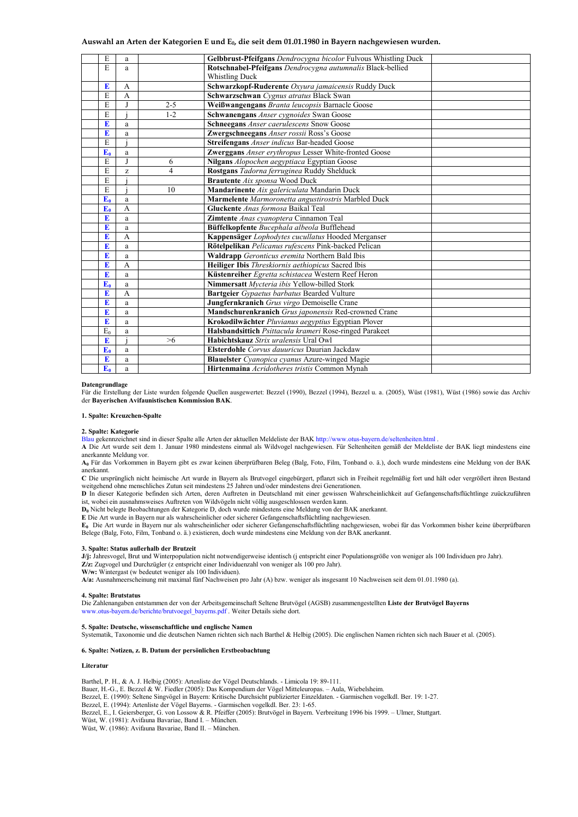## **Auswahl an Arten der Kategorien E und E0, die seit dem 01.01.1980 in Bayern nachgewiesen wurden.**

| E     | a              |                | Gelbbrust-Pfeifgans Dendrocygna bicolor Fulvous Whistling Duck |
|-------|----------------|----------------|----------------------------------------------------------------|
| E     | a              |                | Rotschnabel-Pfeifgans Dendrocygna autumnalis Black-bellied     |
|       |                |                | <b>Whistling Duck</b>                                          |
| E     | A              |                | Schwarzkopf-Ruderente Oxyura jamaicensis Ruddy Duck            |
| E     | A              |                | Schwarzschwan Cygnus atratus Black Swan                        |
| E     |                | $2 - 5$        | Weißwangengans Branta leucopsis Barnacle Goose                 |
| E     |                | $1 - 2$        | Schwanengans Anser cygnoides Swan Goose                        |
| E     | a              |                | Schneegans Anser caerulescens Snow Goose                       |
| E     | a              |                | Zwergschneegans Anser rossii Ross's Goose                      |
| E     |                |                | Streifengans Anser indicus Bar-headed Goose                    |
| $E_0$ | a              |                | Zwerggans Anser erythropus Lesser White-fronted Goose          |
| E     |                | 6              | Nilgans Alopochen aegyptiaca Egyptian Goose                    |
| E     | z              | $\overline{4}$ | Rostgans Tadorna ferruginea Ruddy Shelduck                     |
| E     |                |                | Brautente Aix sponsa Wood Duck                                 |
| E     |                | 10             | Mandarinente Aix galericulata Mandarin Duck                    |
| $E_0$ | a              |                | Marmelente Marmoronetta angustirostris Marbled Duck            |
| $E_0$ | A              |                | Gluckente Anas formosa Baikal Teal                             |
| E     | a              |                | Zimtente Anas cyanoptera Cinnamon Teal                         |
| E     | a              |                | Büffelkopfente Bucephala albeola Bufflehead                    |
| E     | A              |                | Kappensäger Lophodytes cucullatus Hooded Merganser             |
| E     | a              |                | Rötelpelikan Pelicanus rufescens Pink-backed Pelican           |
| E     | a              |                | Waldrapp Geronticus eremita Northern Bald Ibis                 |
| E     | A              |                | Heiliger Ibis Threskiornis aethiopicus Sacred Ibis             |
| E     | a              |                | Küstenreiher Egretta schistacea Western Reef Heron             |
| $E_0$ | a              |                | Nimmersatt Mycteria ibis Yellow-billed Stork                   |
| E     | $\overline{A}$ |                | Bartgeier Gypaetus barbatus Bearded Vulture                    |
| E     | a              |                | Jungfernkranich Grus virgo Demoiselle Crane                    |
| E     | a              |                | Mandschurenkranich Grus japonensis Red-crowned Crane           |
| E     | a              |                | Krokodilwächter Pluvianus aegyptius Egyptian Plover            |
| $E_0$ | a              |                | Halsbandsittich Psittacula krameri Rose-ringed Parakeet        |
| E     |                | $>6$           | Habichtskauz Strix uralensis Ural Owl                          |
| $E_0$ | a              |                | Elsterdohle Corvus dauuricus Daurian Jackdaw                   |
| E     | a              |                | Blauelster Cyanopica cyanus Azure-winged Magie                 |
| $E_0$ | a              |                | Hirtenmaina Acridotheres tristis Common Mynah                  |
|       |                |                |                                                                |

#### **Datengrundlage**

Für die Erstellung der Liste wurden folgende Quellen ausgewertet: Bezzel (1990), Bezzel (1994), Bezzel u. a. (2005), Wüst (1981), Wüst (1986) sowie das Archiv der **Bayerischen Avifaunistischen Kommission BAK**.

#### **1. Spalte: Kreuzchen-Spalte**

#### **2. Spalte: Kategorie**

Blau gekennzeichnet sind in dieser Spalte alle Arten der aktuellen Meldeliste der BAK http://www.otus-bayern.de/seltenheiten.html .

**A** Die Art wurde seit dem 1. Januar 1980 mindestens einmal als Wildvogel nachgewiesen. Für Seltenheiten gemäß der Meldeliste der BAK liegt mindestens eine anerkannte Meldung vor.

**A0** Für das Vorkommen in Bayern gibt es zwar keinen überprüfbaren Beleg (Balg, Foto, Film, Tonband o. ä.), doch wurde mindestens eine Meldung von der BAK anerkannt.

**C** Die ursprünglich nicht heimische Art wurde in Bayern als Brutvogel eingebürgert, pflanzt sich in Freiheit regelmäßig fort und hält oder vergrößert ihren Bestand weitgehend ohne menschliches Zutun seit mindestens 25 Jahren und/oder mindestens drei Generationen.

**D** In dieser Kategorie befinden sich Arten, deren Auftreten in Deutschland mit einer gewissen Wahrscheinlichkeit auf Gefangenschaftsflüchtlinge zuückzuführen ist, wobei ein ausnahmsweises Auftreten von Wildvögeln nicht völlig ausgeschlossen werden kann.

**D<sup>0</sup>** Nicht belegte Beobachtungen der Kategorie D, doch wurde mindestens eine Meldung von der BAK anerkannt.

**E** Die Art wurde in Bayern nur als wahrscheinlicher oder sicherer Gefangenschaftsflüchtling nachgewiesen.

**E0** Die Art wurde in Bayern nur als wahrscheinlicher oder sicherer Gefangenschaftsflüchtling nachgewiesen, wobei für das Vorkommen bisher keine überprüfbaren Belege (Balg, Foto, Film, Tonband o. ä.) existieren, doch wurde mindestens eine Meldung von der BAK anerkannt.

#### **3. Spalte: Status außerhalb der Brutzeit**

**J/j:** Jahresvogel, Brut und Winterpopulation nicht notwendigerweise identisch (j entspricht einer Populationsgröße von weniger als 100 Individuen pro Jahr). **Z/z:** Zugvogel und Durchzügler (z entspricht einer Individuenzahl von weniger als 100 pro Jahr). **W/w:** Wintergast (w bedeutet weniger als 100 Individuen).

**A/a:** Ausnahmeerscheinung mit maximal fünf Nachweisen pro Jahr (A) bzw. weniger als insgesamt 10 Nachweisen seit dem 01.01.1980 (a).

#### **4. Spalte: Brutstatus**

Die Zahlenangaben entstammen der von der Arbeitsgemeinschaft Seltene Brutvögel (AGSB) zusammengestellten **Liste der Brutvögel Bayerns** www.otus-bayern.de/berichte/brutvoegel\_bayerns.pdf . Weiter Details siehe dort.

#### **5. Spalte: Deutsche, wissenschaftliche und englische Namen**

Systematik, Taxonomie und die deutschen Namen richten sich nach Barthel & Helbig (2005). Die englischen Namen richten sich nach Bauer et al. (2005).

### **6. Spalte: Notizen, z. B. Datum der persönlichen Erstbeobachtung**

## **Literatur**

Barthel, P. H., & A. J. Helbig (2005): Artenliste der Vögel Deutschlands. - Limicola 19: 89-111. Bauer, H.-G., E. Bezzel & W. Fiedler (2005): Das Kompendium der Vögel Mitteleuropas. – Aula, Wiebelsheim. Bezzel, E. (1990): Seltene Singvögel in Bayern: Kritische Durchsicht publizierter Einzeldaten. - Garmischen vogelkdl. Ber. 19: 1-27. Bezzel, E. (1994): Artenliste der Vögel Bayerns. - Garmischen vogelkdl. Ber. 23: 1-65. Bezzel, E., I. Geiersberger, G. von Lossow & R. Pfeiffer (2005): Brutvögel in Bayern. Verbreitung 1996 bis 1999. – Ulmer, Stuttgart. Wüst, W. (1981): Avifauna Bavariae, Band I. – München. Wüst, W. (1986): Avifauna Bavariae, Band II. – München.